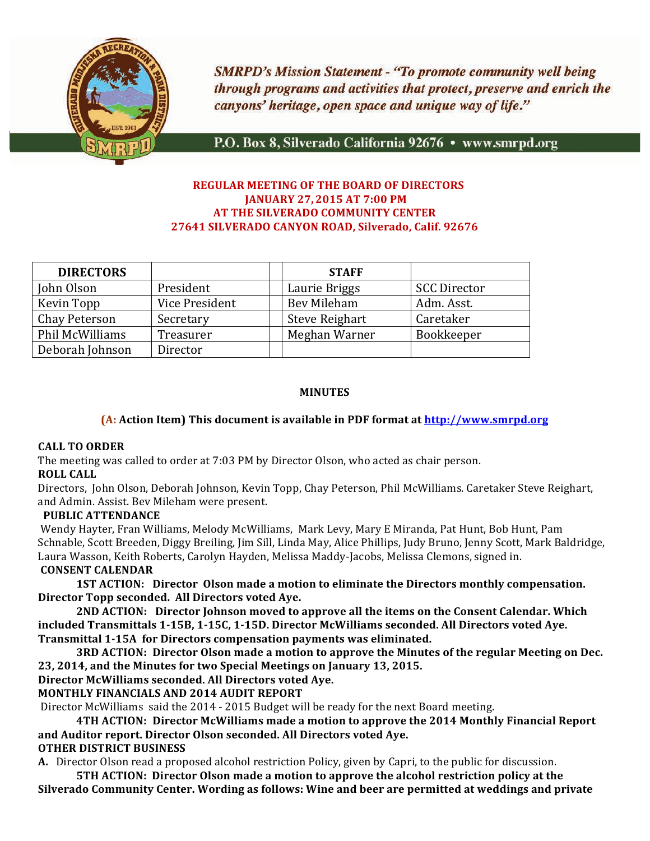

**SMRPD's Mission Statement - "To promote community well being** through programs and activities that protect, preserve and enrich the canyons' heritage, open space and unique way of life."

P.O. Box 8, Silverado California 92676 · www.smrpd.org

#### **!! REGULAR MEETING!OF!THE!BOARD!OF!DIRECTORS JANUARY 27, 2015 AT 7:00 PM AT THE SILVERADO COMMUNITY CENTER** 27641 SILVERADO CANYON ROAD, Silverado, Calif. 92676

| <b>DIRECTORS</b> |                | <b>STAFF</b>          |                     |
|------------------|----------------|-----------------------|---------------------|
| John Olson       | President      | Laurie Briggs         | <b>SCC Director</b> |
| Kevin Topp       | Vice President | Bev Mileham           | Adm. Asst.          |
| Chay Peterson    | Secretary      | <b>Steve Reighart</b> | Caretaker           |
| Phil McWilliams  | Treasurer      | Meghan Warner         | Bookkeeper          |
| Deborah Johnson  | Director       |                       |                     |

### **MINUTES**

#### **(A: Action Item) This document is available in PDF format at http://www.smrpd.org**

#### **CALL!TO!ORDER**

The meeting was called to order at 7:03 PM by Director Olson, who acted as chair person.

### **ROLL CALL**

Directors, John Olson, Deborah Johnson, Kevin Topp, Chay Peterson, Phil McWilliams. Caretaker Steve Reighart, and Admin. Assist. Bev Mileham were present.

#### **PUBLIC!ATTENDANCE**

Wendy Hayter, Fran Williams, Melody McWilliams, Mark Levy, Mary E Miranda, Pat Hunt, Bob Hunt, Pam Schnable, Scott Breeden, Diggy Breiling, Jim Sill, Linda May, Alice Phillips, Judy Bruno, Jenny Scott, Mark Baldridge, Laura Wasson, Keith Roberts, Carolyn Hayden, Melissa Maddy-Jacobs, Melissa Clemons, signed in. **CONSENT!CALENDAR**

**1ST ACTION:** Director Olson made a motion to eliminate the Directors monthly compensation. **Director Topp seconded. All Directors voted Aye.** 

**2ND ACTION:** Director Johnson moved to approve all the items on the Consent Calendar. Which included Transmittals 1-15B, 1-15C, 1-15D. Director McWilliams seconded. All Directors voted Aye. **Transmittal 1-15A for Directors compensation payments was eliminated.** 

**3RD ACTION: Director Olson made a motion to approve the Minutes of the regular Meeting on Dec.** 23, 2014, and the Minutes for two Special Meetings on January 13, 2015.

### **Director McWilliams seconded. All Directors voted Aye.**

### **MONTHLY FINANCIALS AND 2014 AUDIT REPORT**

Director McWilliams said the 2014 - 2015 Budget will be ready for the next Board meeting.

**4TH ACTION: Director McWilliams made a motion to approve the 2014 Monthly Financial Report** and Auditor report. Director Olson seconded. All Directors voted Aye.

## **OTHER DISTRICT BUSINESS**

**A.** Director Olson read a proposed alcohol restriction Policy, given by Capri, to the public for discussion.

**5TH ACTION: Director Olson made a motion to approve the alcohol restriction policy at the** Silverado Community Center. Wording as follows: Wine and beer are permitted at weddings and private